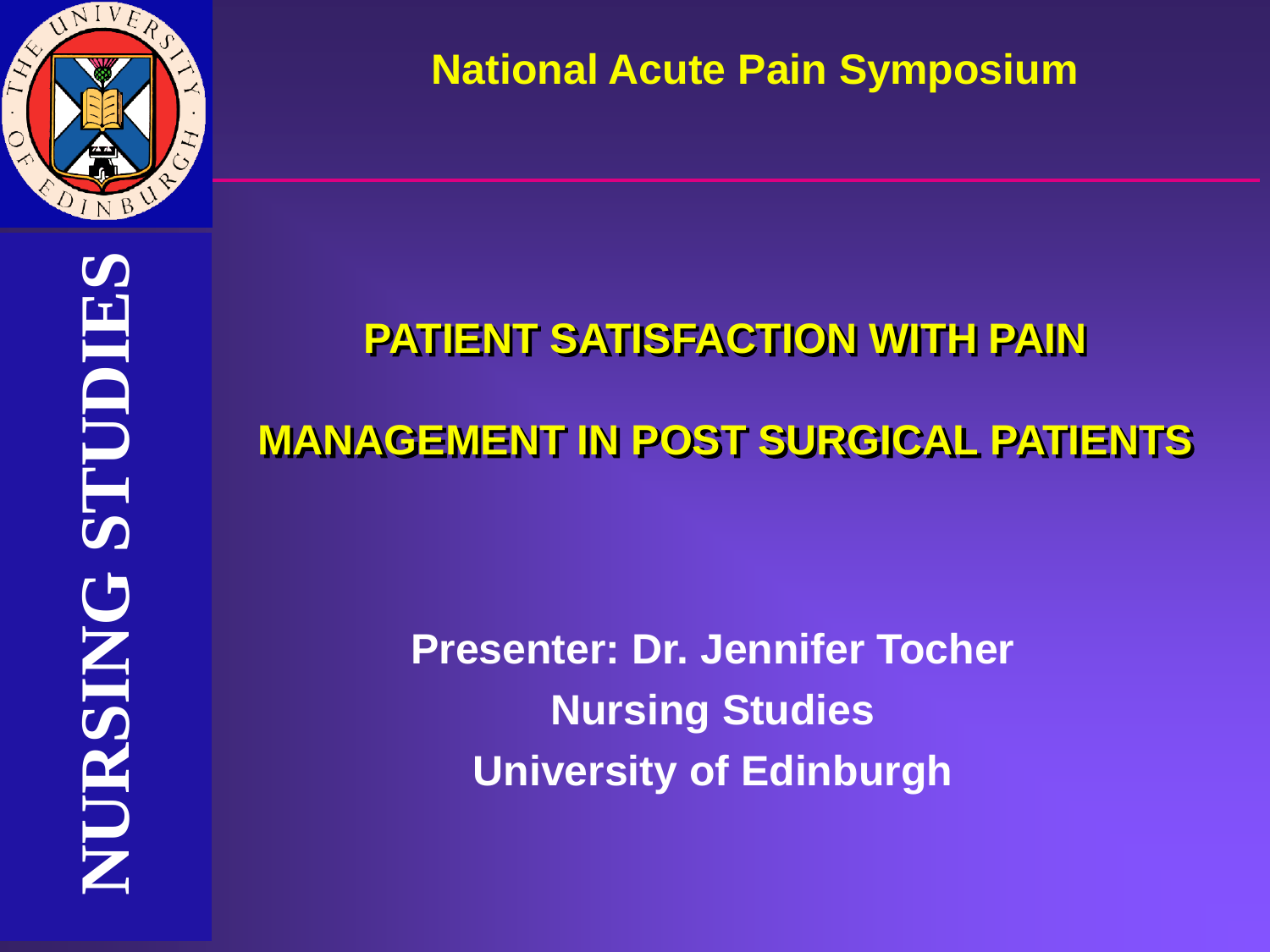

**National Acute Pain Symposium** 

# **NURSING STUDIES** STUDIES **NURSING STUDIES** NURSING

# **PATIENT SATISFACTION WITH PAIN**

## **MANAGEMENT IN POST SURGICAL PATIENTS**

**Presenter: Dr. Jennifer Tocher Nursing Studies University of Edinburgh**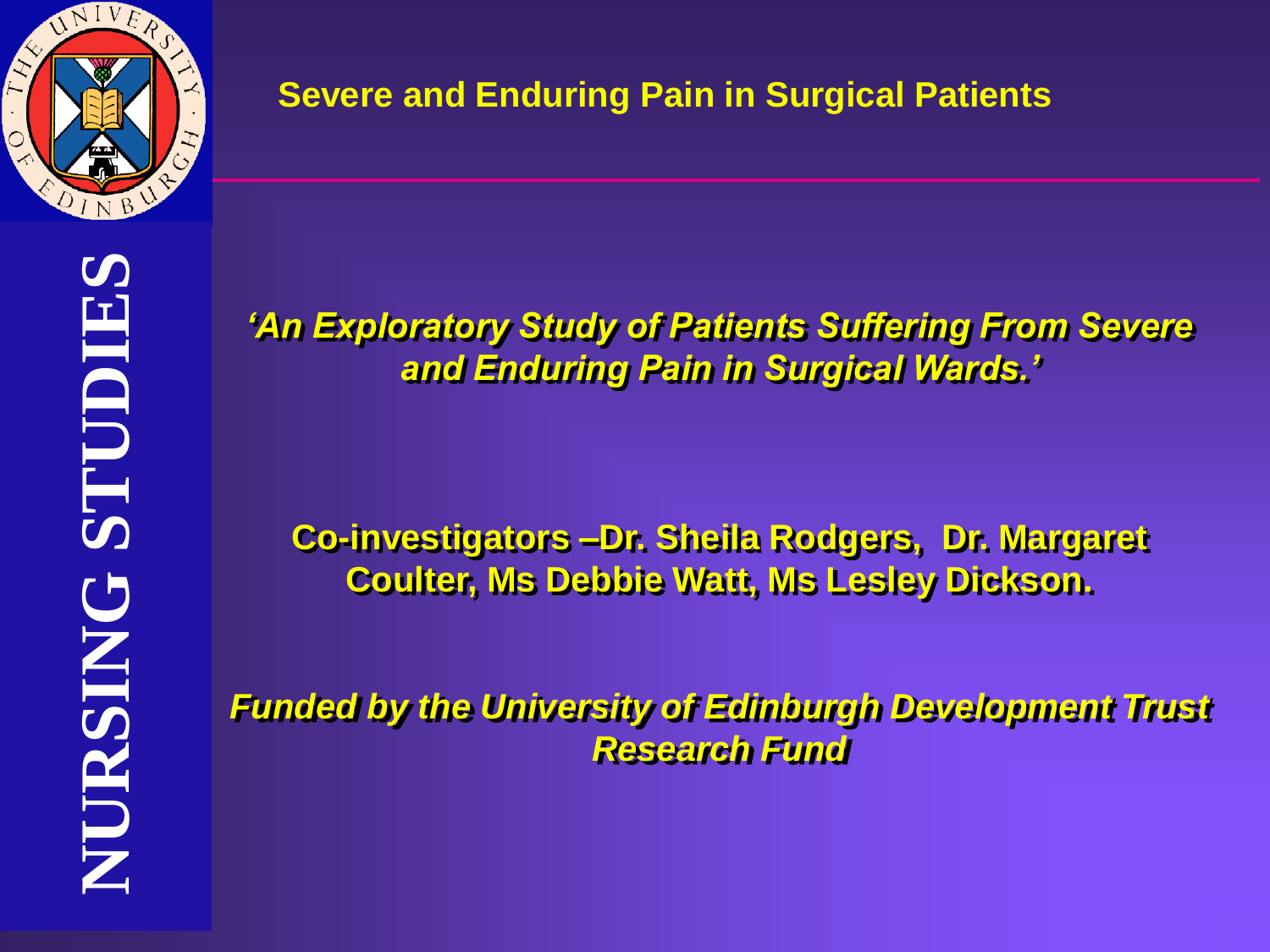

*'An Exploratory Study of Patients Suffering From Severe and Enduring Pain in Surgical Wards.'*

**Co-investigators –Dr. Sheila Rodgers, Dr. Margaret Coulter, Ms Debbie Watt, Ms Lesley Dickson.**

*Funded by the University of Edinburgh Development Trust Research Fund*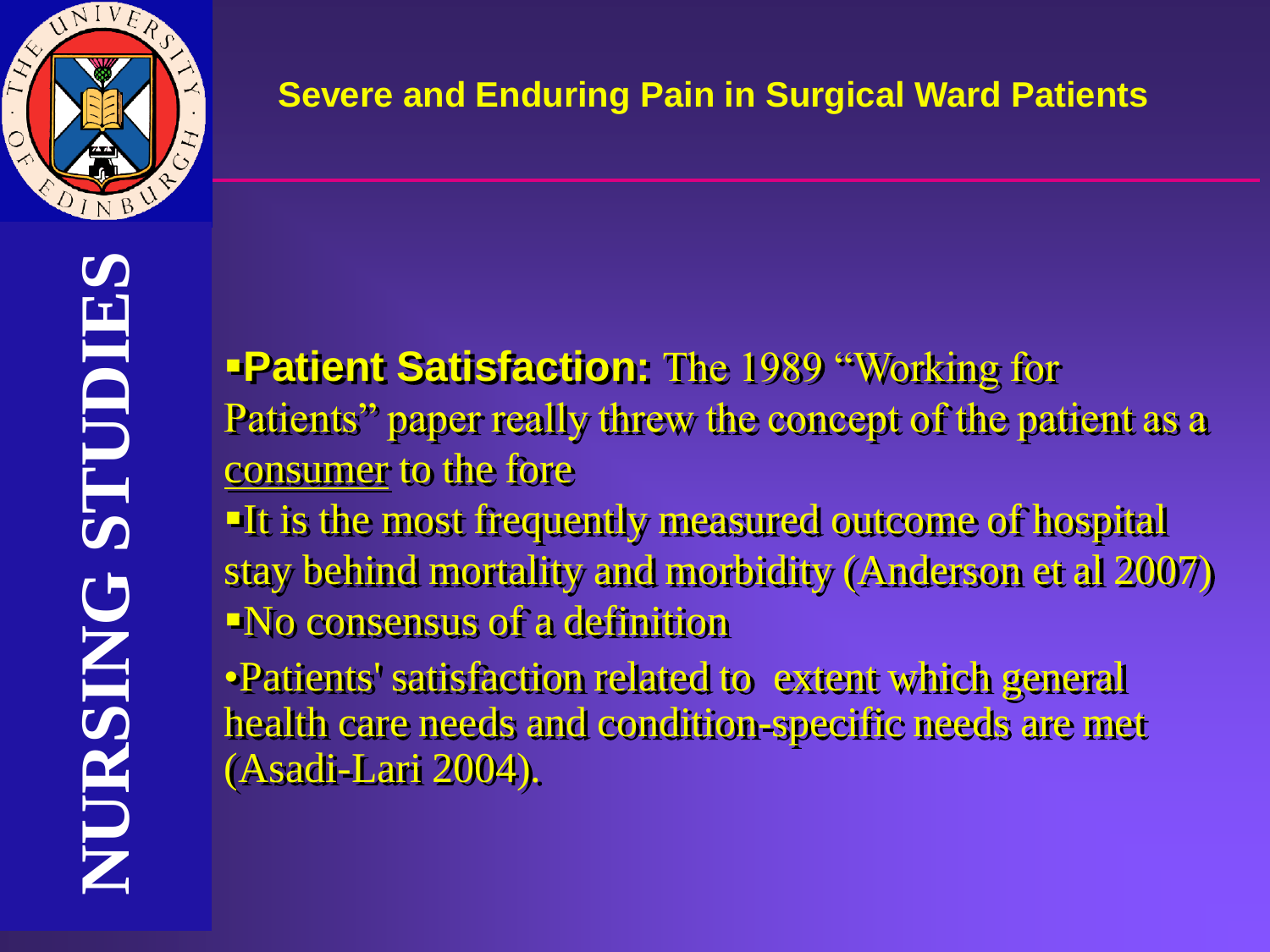

▪**Patient Satisfaction:** The 1989 "Working for Patients" paper really threw the concept of the patient as a consumer to the fore

**If is the most frequently measured outcome of hospital** stay behind mortality and morbidity (Anderson et al 2007) ▪No consensus of a definition

•Patients' satisfaction related to extent which general health care needs and condition-specific needs are met (Asadi-Lari 2004).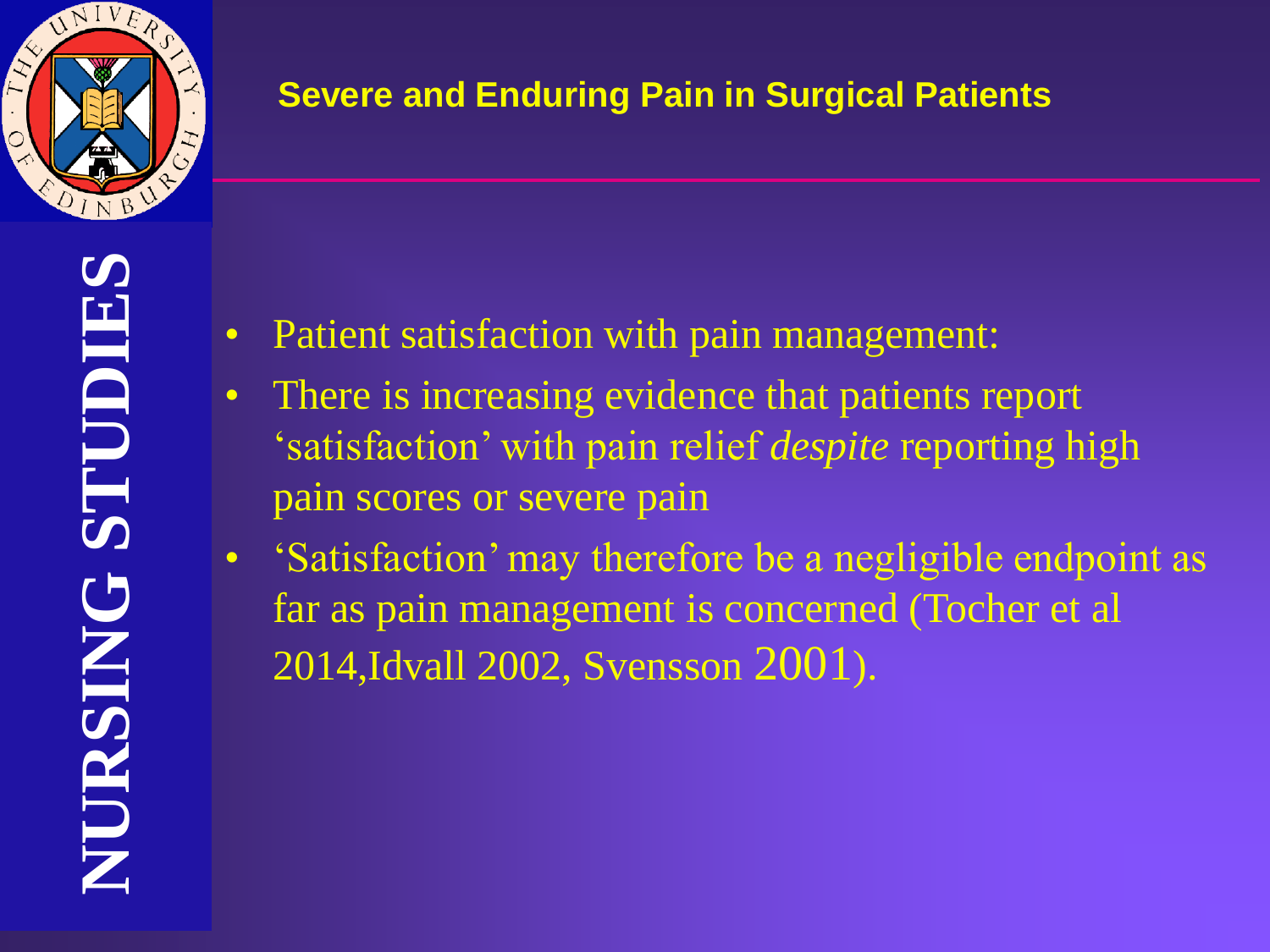

- Patient satisfaction with pain management:
- There is increasing evidence that patients report 'satisfaction' with pain relief *despite* reporting high pain scores or severe pain
- 'Satisfaction' may therefore be a negligible endpoint as far as pain management is concerned (Tocher et al 2014,Idvall 2002, Svensson 2001).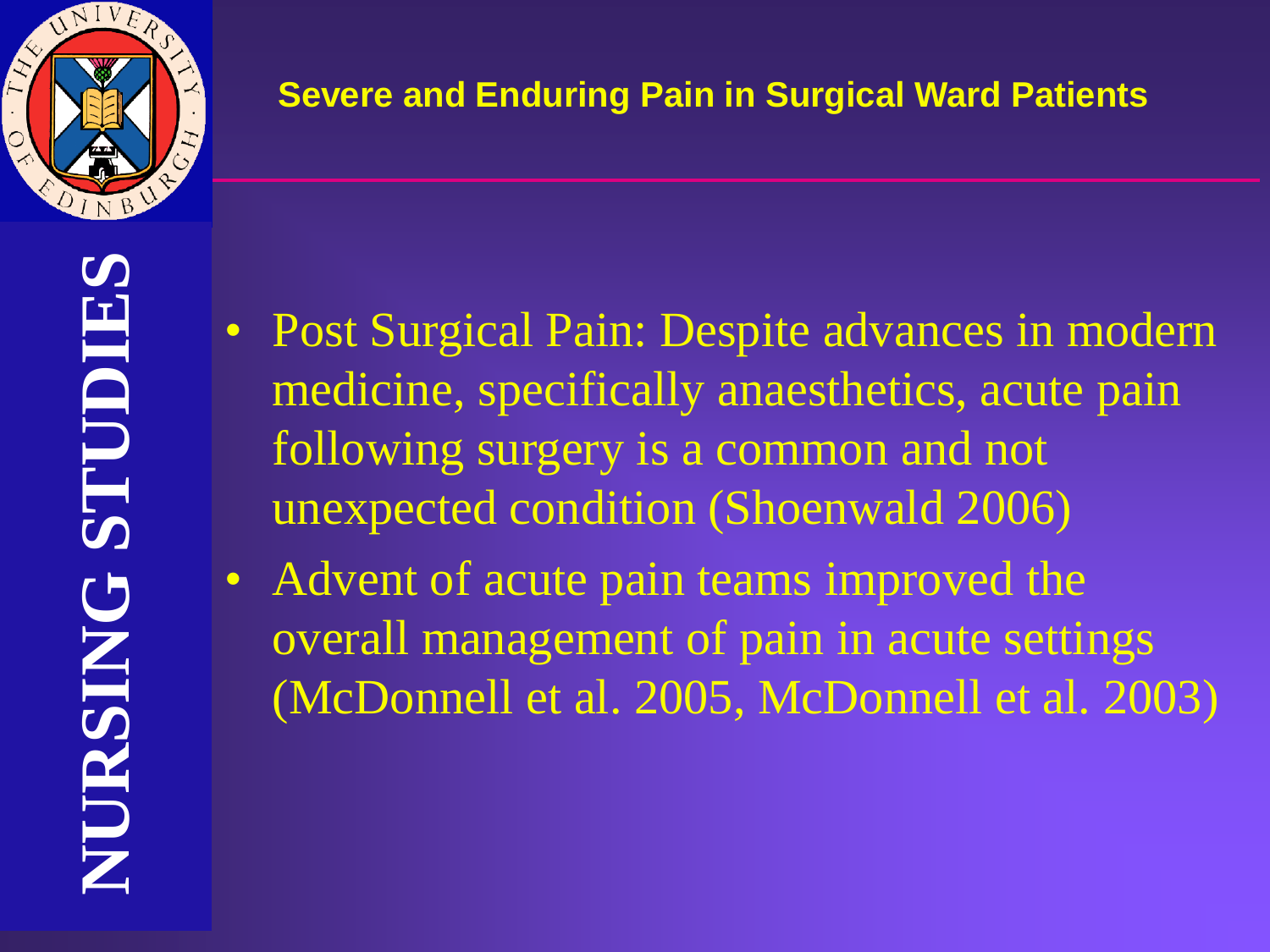

- Post Surgical Pain: Despite advances in modern medicine, specifically anaesthetics, acute pain following surgery is a common and not unexpected condition (Shoenwald 2006)
- Advent of acute pain teams improved the overall management of pain in acute settings (McDonnell et al. 2005, McDonnell et al. 2003)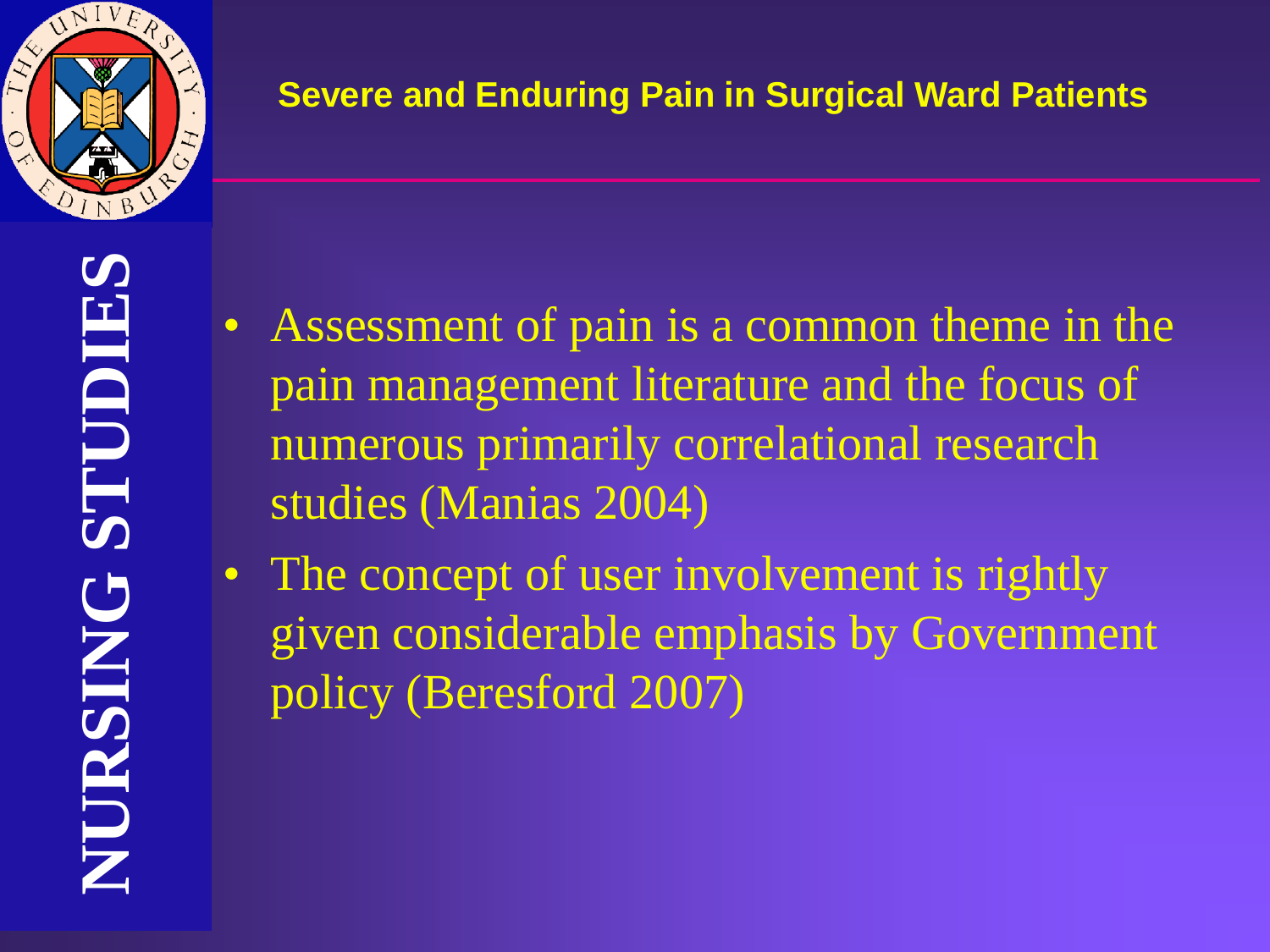

- Assessment of pain is a common theme in the pain management literature and the focus of numerous primarily correlational research studies (Manias 2004)
- The concept of user involvement is rightly given considerable emphasis by Government policy (Beresford 2007)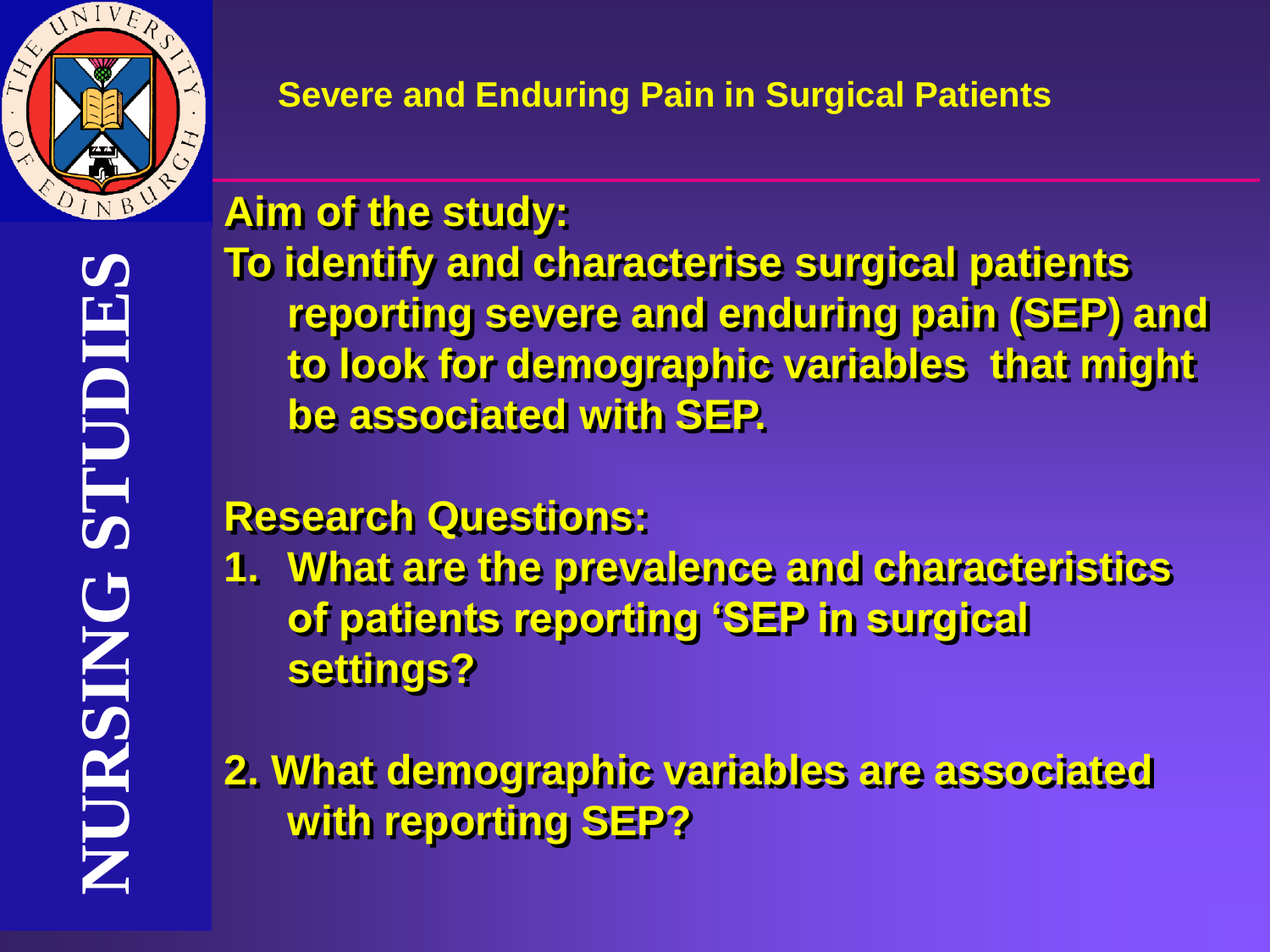

# **Aim of the study:**

**To identify and characterise surgical patients reporting severe and enduring pain (SEP) and to look for demographic variables that might be associated with SEP.** 

## **Research Questions:**

**1. What are the prevalence and characteristics of patients reporting 'SEP in surgical settings?**

**2. What demographic variables are associated with reporting SEP?**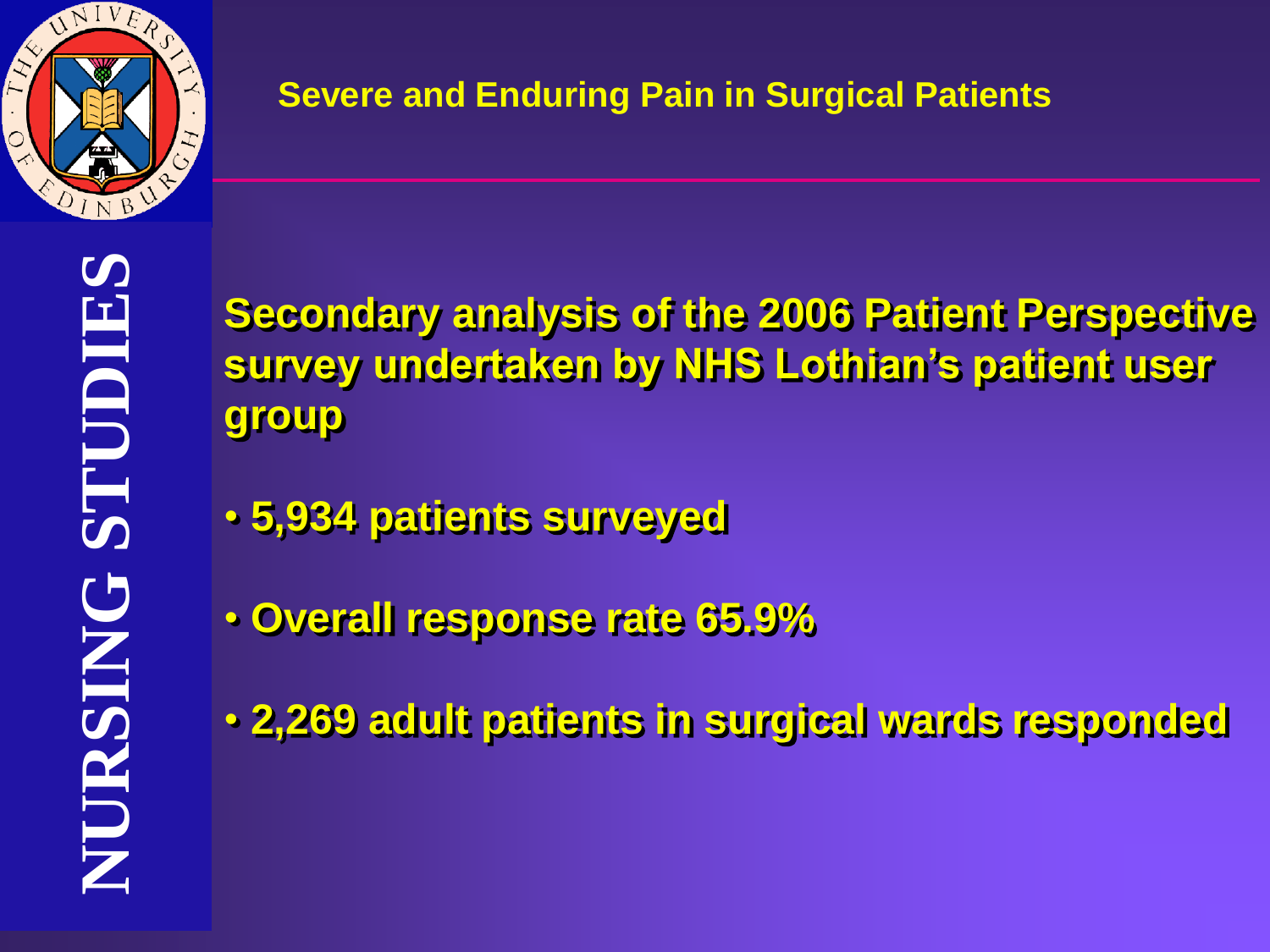

**Secondary analysis of the 2006 Patient Perspective survey undertaken by NHS Lothian's patient user group** 

- **5,934 patients surveyed**
- **Overall response rate 65.9%**
- **2,269 adult patients in surgical wards responded**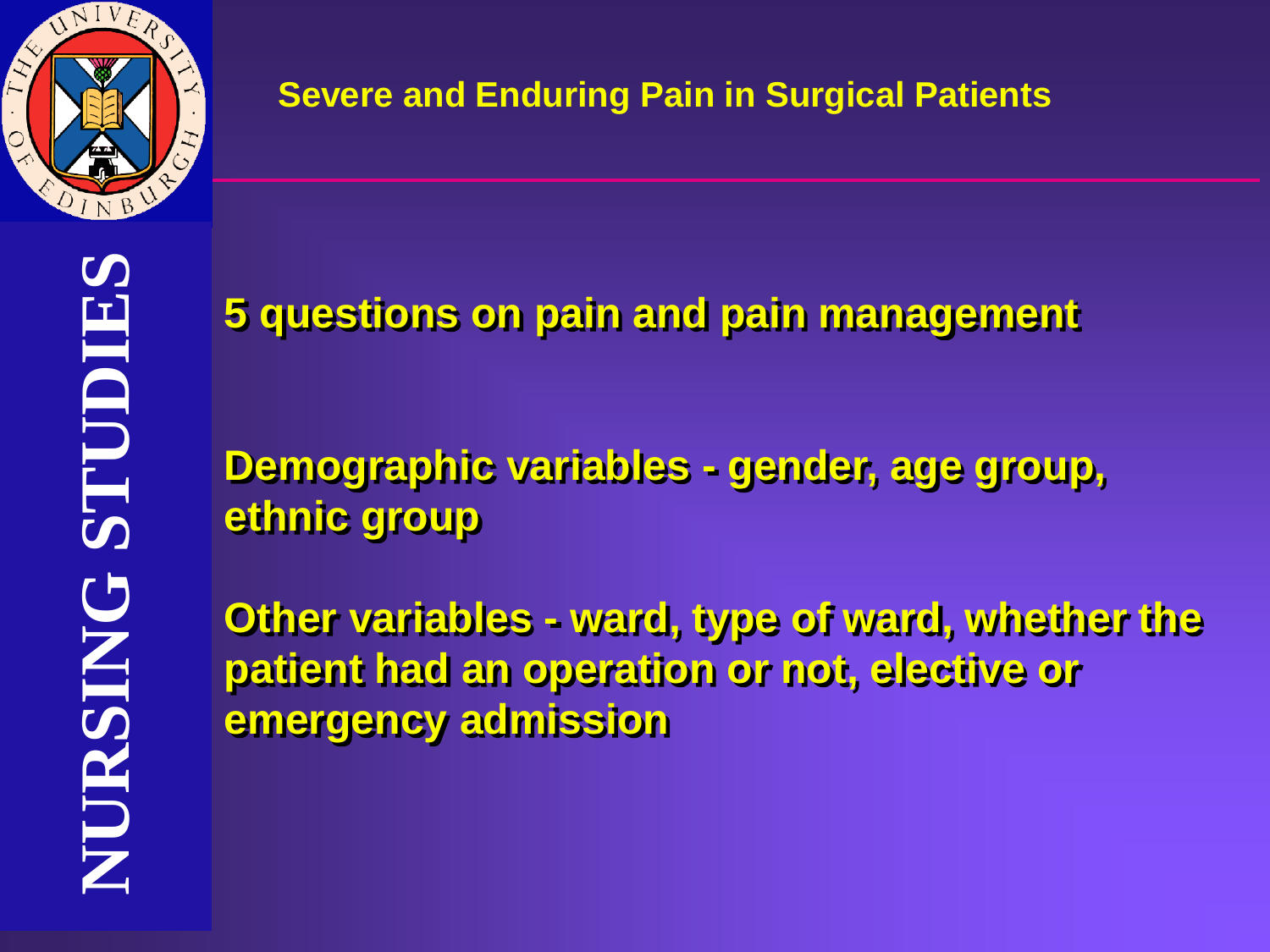

**5 questions on pain and pain management**

**Demographic variables - gender, age group, ethnic group**

**Other variables - ward, type of ward, whether the patient had an operation or not, elective or emergency admission**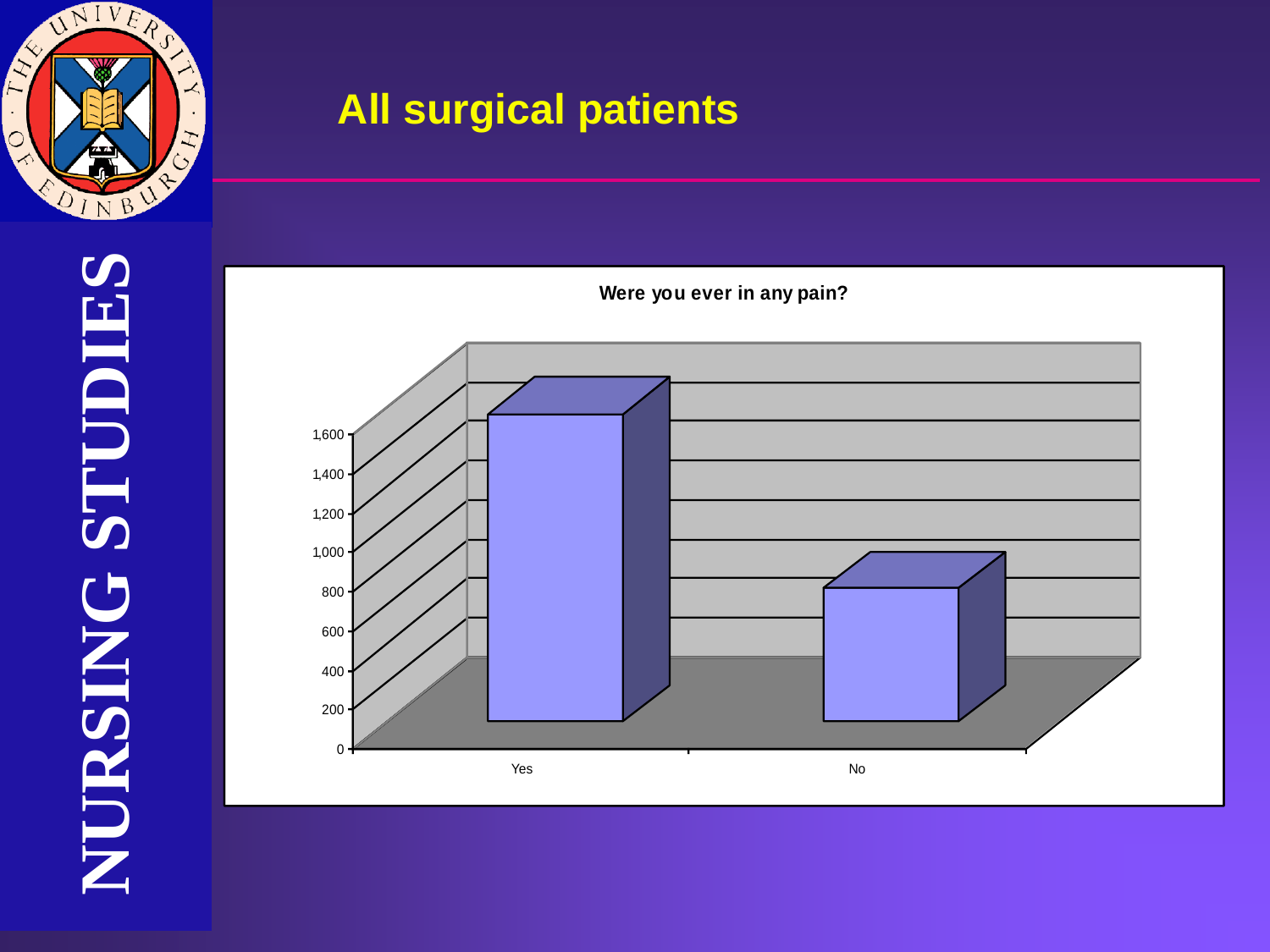



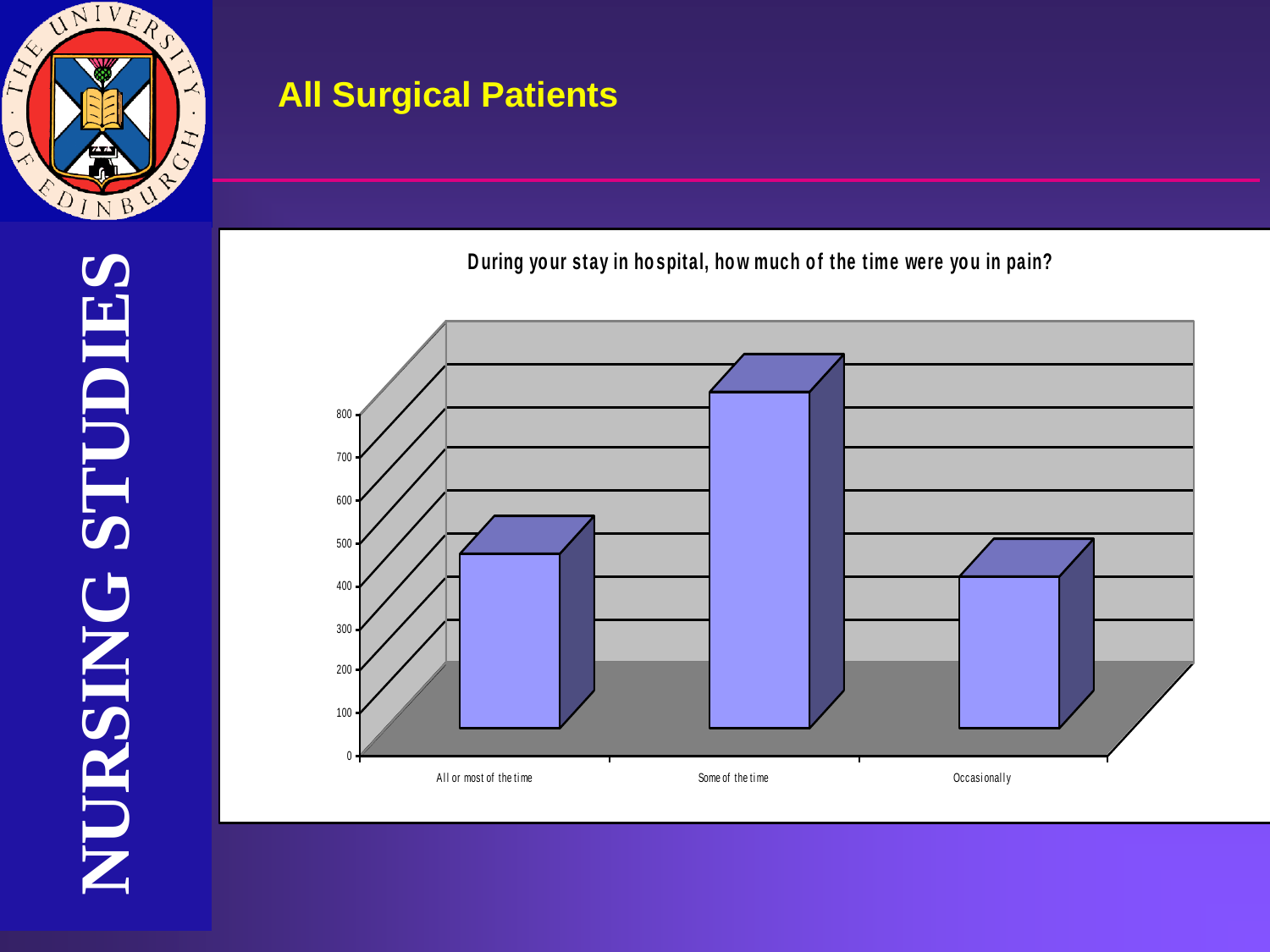

During your stay in hospital, how much of the time were you in pain?

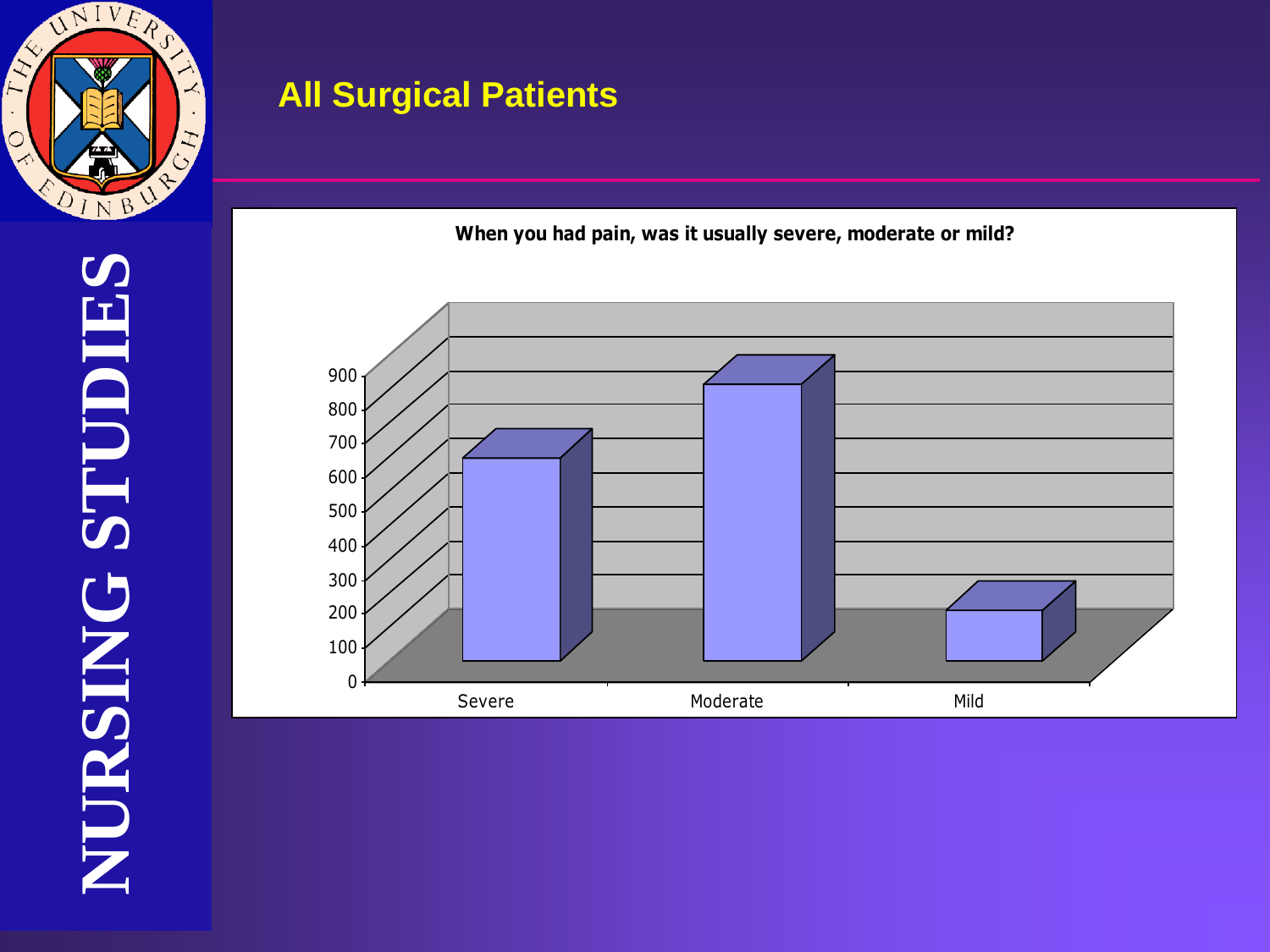

**When you had pain, was it usually severe, moderate or mild?**

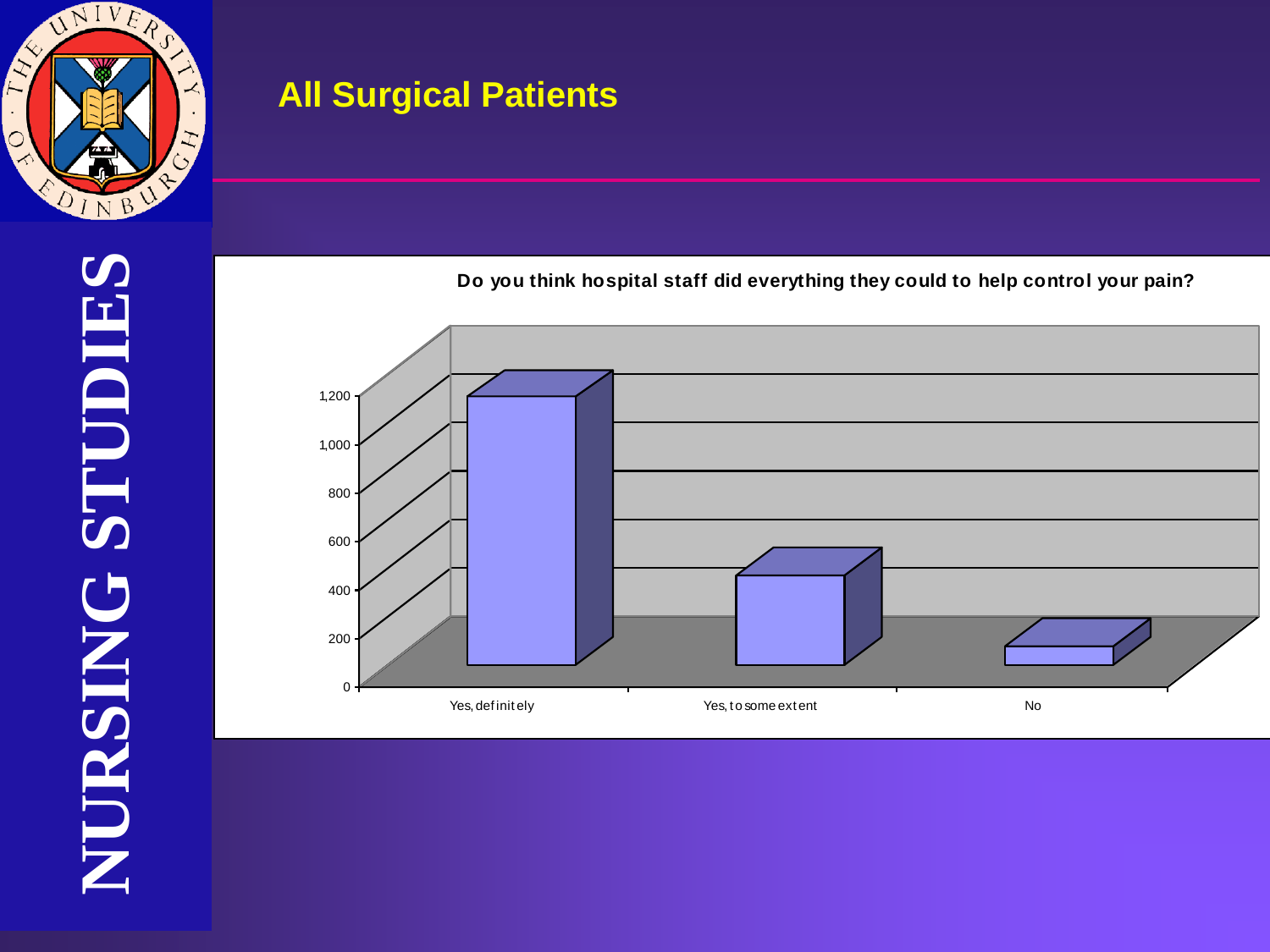

## **Do you think hospital staff did everything they could to help control your pain?**

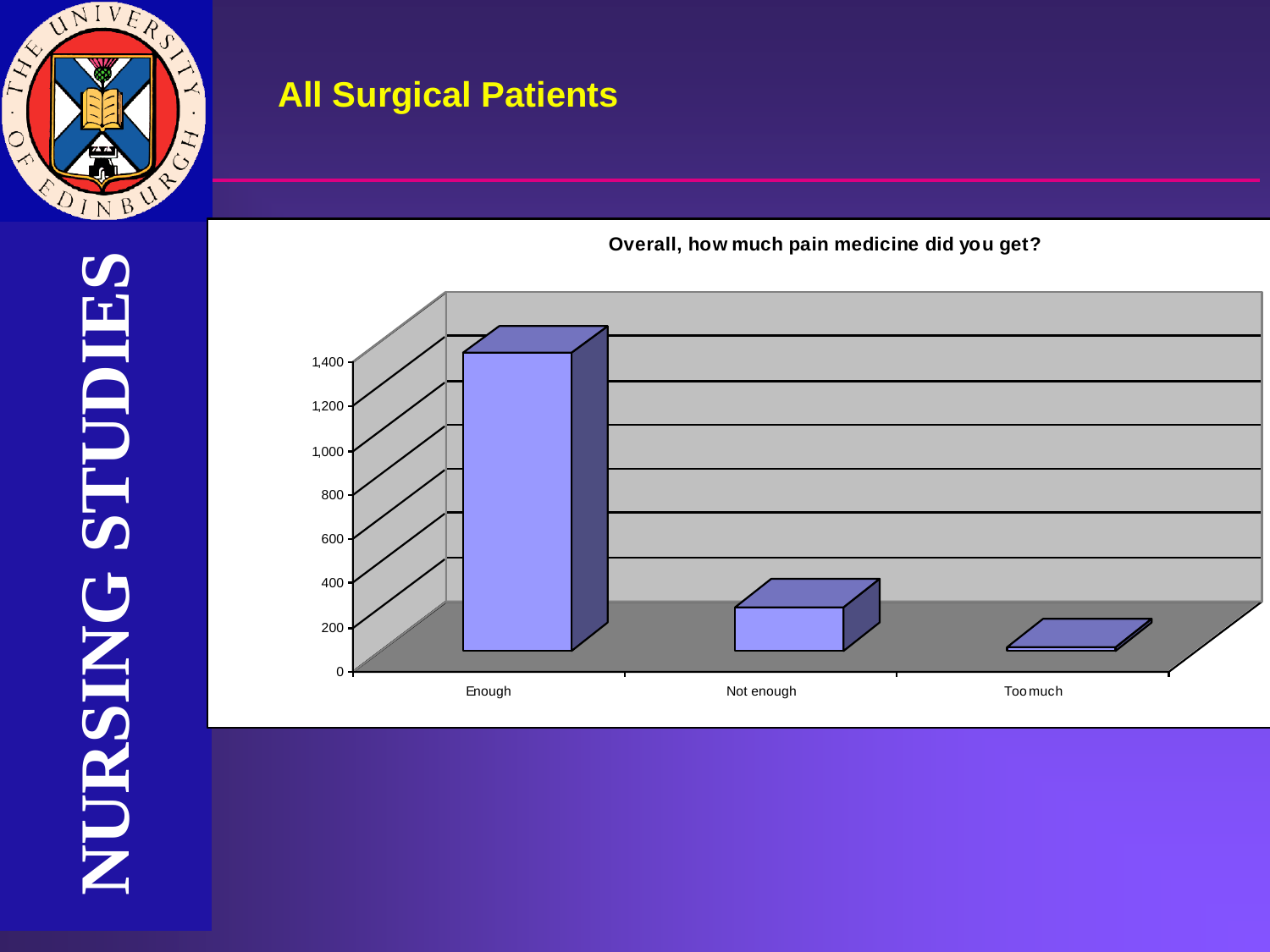

NURSING STUDIES **NURSING STUDIES NURSING STUDIES**



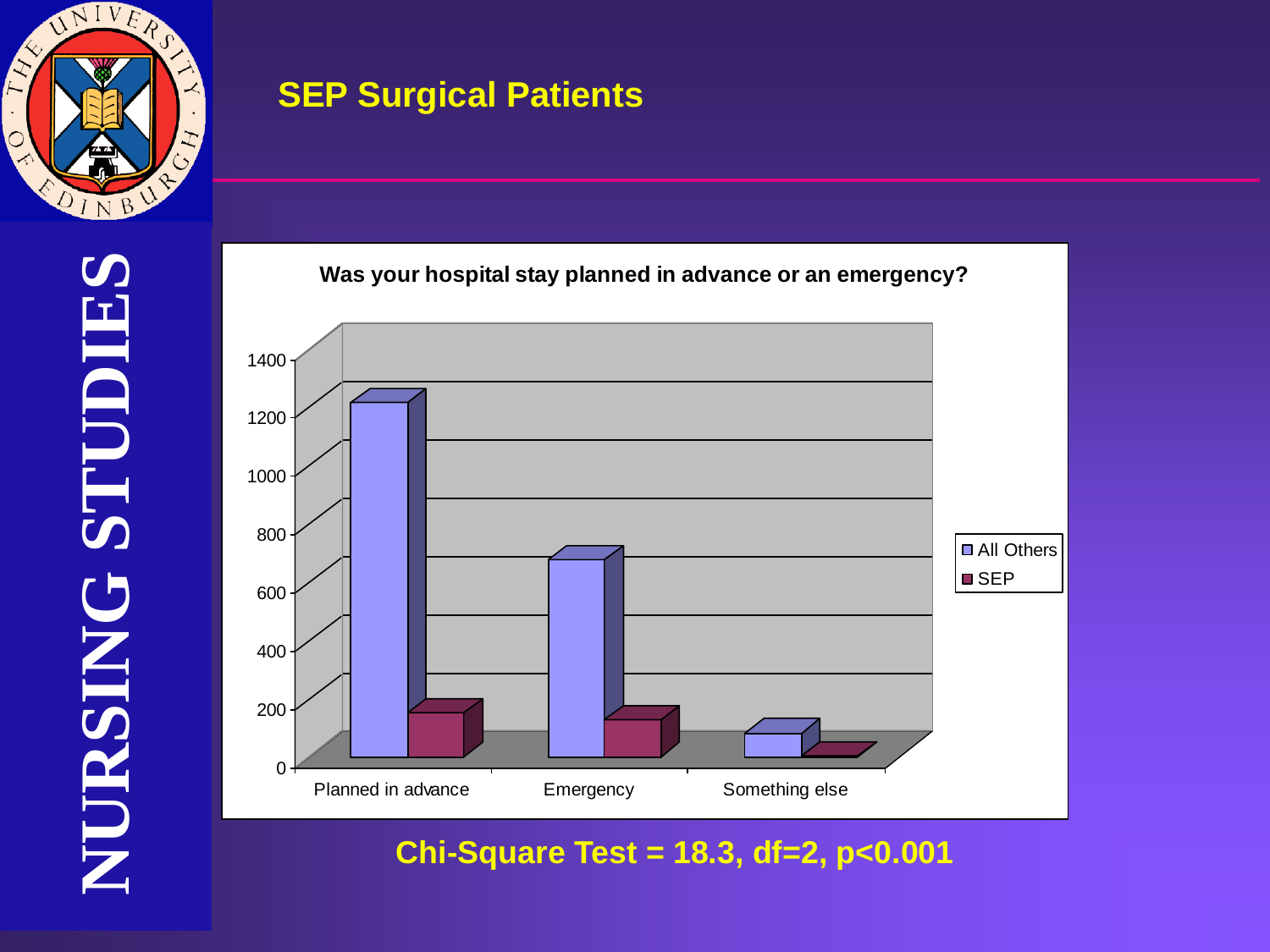

#### **SEP Surgical Patients**

NURSING STUDIES **NURSING STUDIES NURSING STUDIES**



**Chi-Square Test = 18.3, df=2, p<0.001**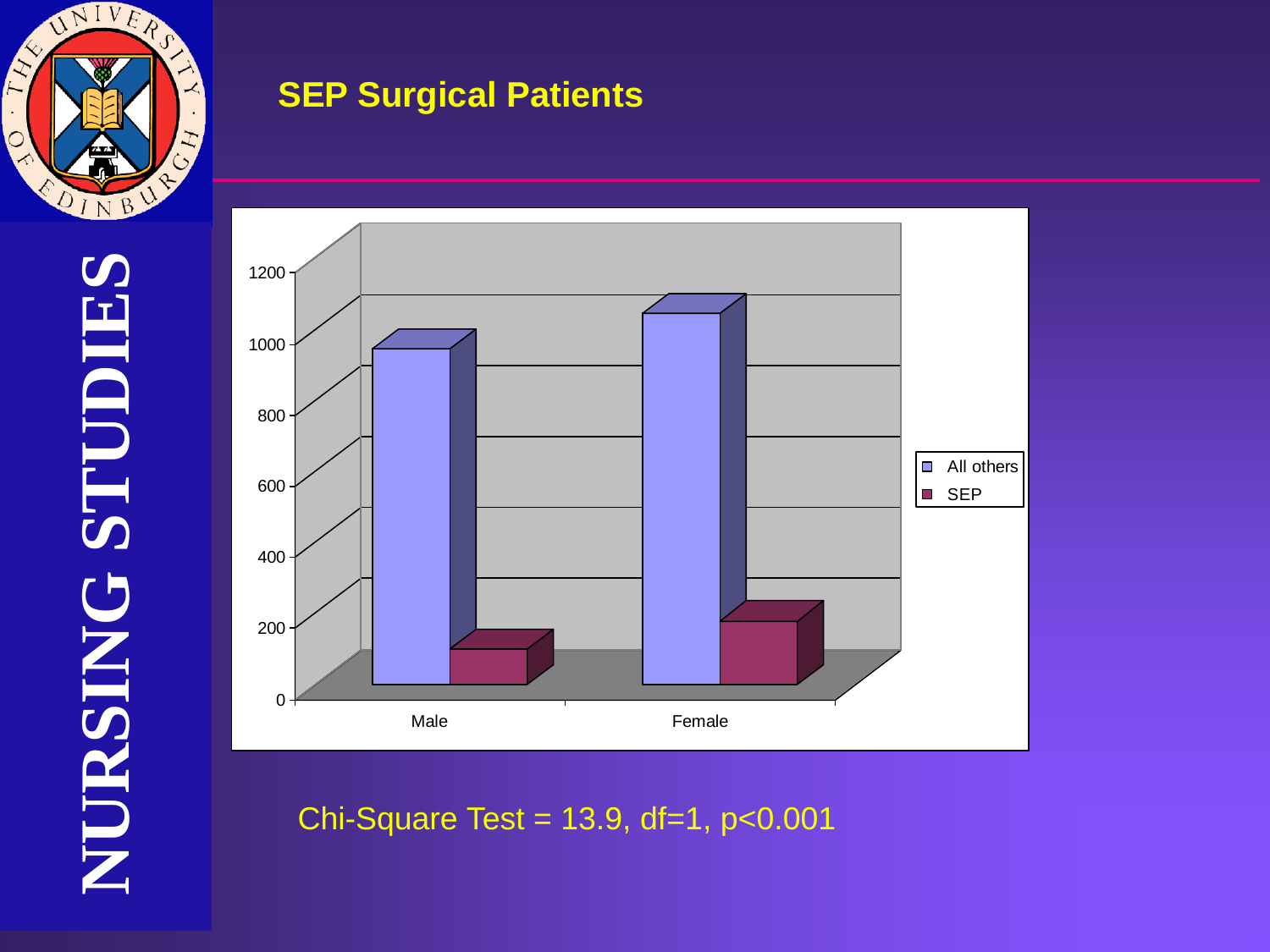

**NURSING STUDIES**

**NURSING STUDIES**

NURSING STUDIES

#### **SEP Surgical Patients**



Chi-Square Test =  $13.9$ , df=1,  $p < 0.001$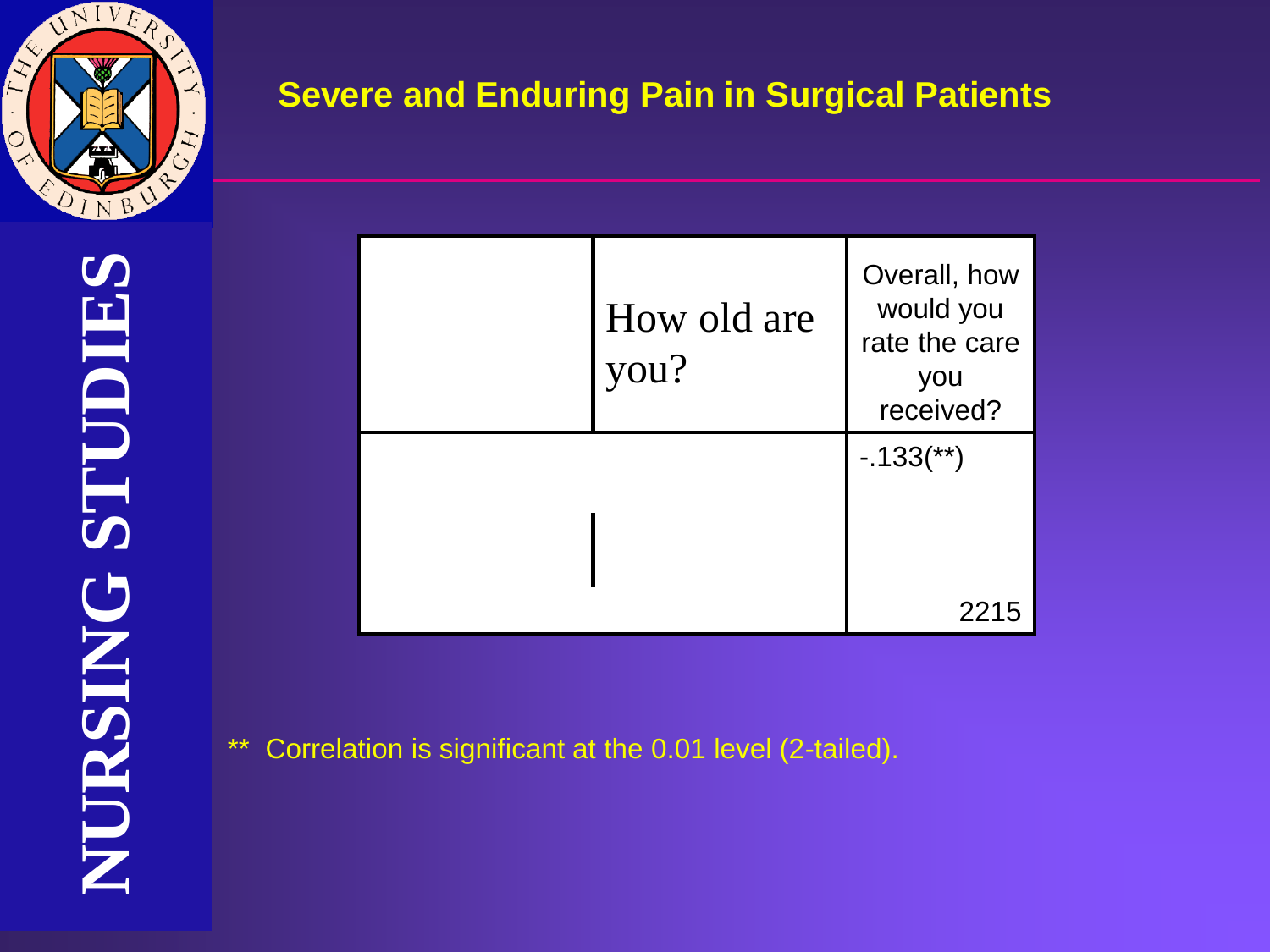

NURSING STUDIES **NURSING STUDIES NURSING STUDIES**

| How old are<br>you? | Overall, how<br>would you<br>rate the care<br>you<br>received? |
|---------------------|----------------------------------------------------------------|
|                     | $-0.133$ <sup>**</sup> )<br>221<br>$\mathbf{h}$                |

\*\* Correlation is significant at the 0.01 level (2-tailed).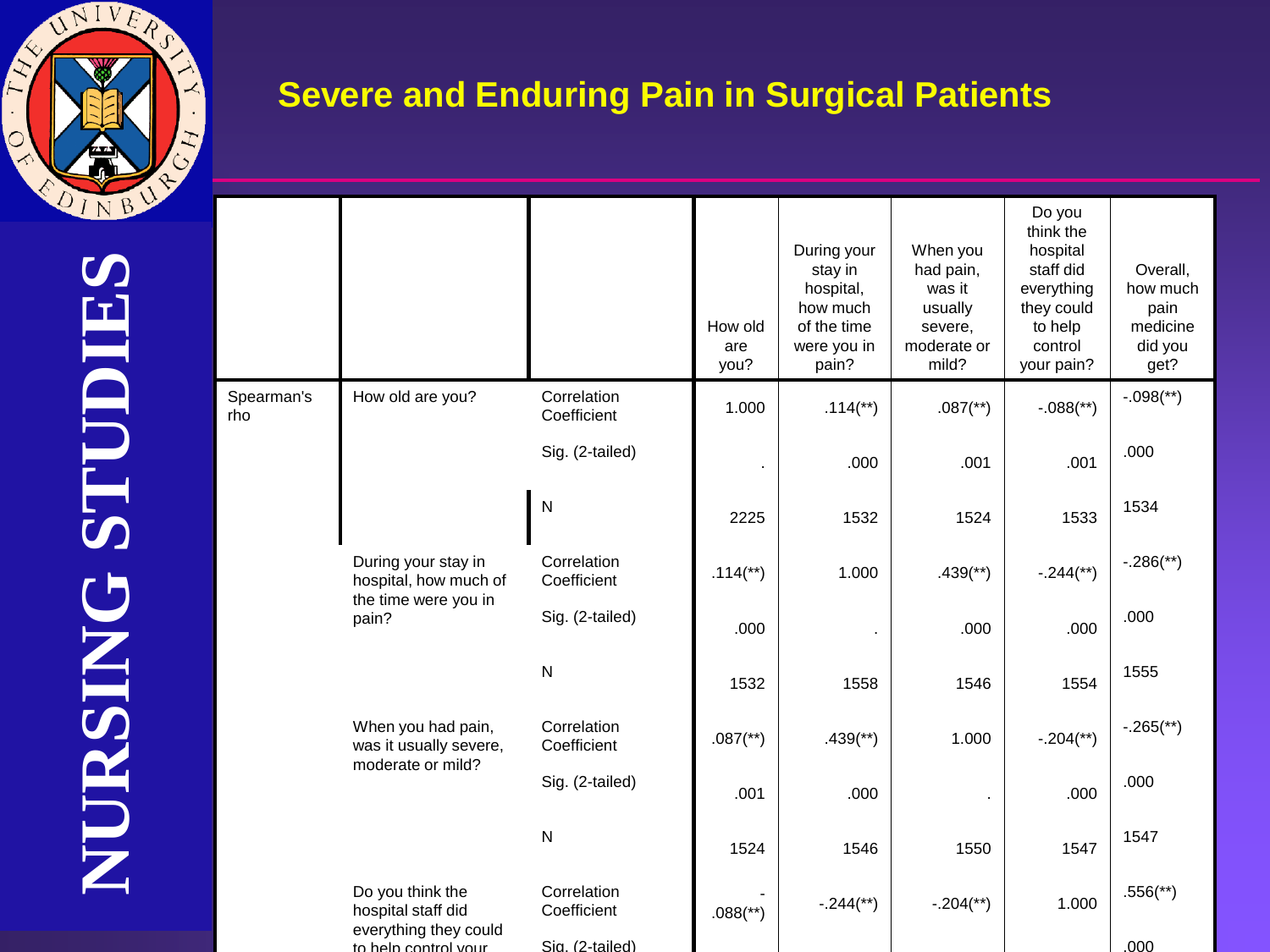

|                                                                                                                                                                                                                                     |                        |                            | How old<br>are<br>you?   | During your<br>stay in<br>hospital,<br>how much<br>of the time<br>were you in<br>pain? | When you<br>had pain,<br>was it<br>usually<br>severe,<br>moderate or<br>mild? | Do you<br>think the<br>hospital<br>staff did<br>everything<br>they could<br>to help<br>control<br>your pain? | Overall,<br>how much<br>pain<br>medicine<br>did you<br>get? |
|-------------------------------------------------------------------------------------------------------------------------------------------------------------------------------------------------------------------------------------|------------------------|----------------------------|--------------------------|----------------------------------------------------------------------------------------|-------------------------------------------------------------------------------|--------------------------------------------------------------------------------------------------------------|-------------------------------------------------------------|
| Spearman's<br>How old are you?<br>rho<br>During your stay in<br>the time were you in<br>pain?<br>When you had pain,<br>moderate or mild?<br>Do you think the<br>hospital staff did<br>everything they could<br>to help control your |                        | Correlation<br>Coefficient | 1.000                    | $.114$ <sup>**</sup> )                                                                 | $.087$ <sup>(**)</sup> )                                                      | $-.088$ <sup>(**</sup> )                                                                                     | $-.098$ <sup>(**)</sup> )                                   |
|                                                                                                                                                                                                                                     |                        | Sig. (2-tailed)            |                          | .000                                                                                   | .001                                                                          | .001                                                                                                         | .000                                                        |
|                                                                                                                                                                                                                                     |                        | $\mathsf{N}$               | 2225                     | 1532                                                                                   | 1524                                                                          | 1533                                                                                                         | 1534                                                        |
|                                                                                                                                                                                                                                     | hospital, how much of  | Correlation<br>Coefficient | $.114$ <sup>**</sup> )   | 1.000                                                                                  | $.439$ <sup>(**)</sup> )                                                      | $-.244$ <sup>**</sup> )                                                                                      | $-.286$ <sup>**</sup> )                                     |
|                                                                                                                                                                                                                                     |                        | Sig. (2-tailed)            | .000                     |                                                                                        | .000                                                                          | .000                                                                                                         | .000                                                        |
|                                                                                                                                                                                                                                     |                        | $\overline{\mathsf{N}}$    | 1532                     | 1558                                                                                   | 1546                                                                          | 1554                                                                                                         | 1555                                                        |
|                                                                                                                                                                                                                                     | was it usually severe, | Correlation<br>Coefficient | $.087$ <sup>(**)</sup> ) | $.439$ <sup>(**)</sup> )                                                               | 1.000                                                                         | $-.204$ <sup>**</sup> )                                                                                      | $-.265$ <sup>**</sup> )                                     |
|                                                                                                                                                                                                                                     |                        | Sig. (2-tailed)            | .001                     | .000                                                                                   |                                                                               | .000                                                                                                         | .000                                                        |
|                                                                                                                                                                                                                                     |                        | $\mathsf{N}$               | 1524                     | 1546                                                                                   | 1550                                                                          | 1547                                                                                                         | 1547                                                        |
|                                                                                                                                                                                                                                     |                        | Correlation<br>Coefficient | $.088$ <sup>(**</sup> )  | $-.244$ <sup>**</sup> )                                                                | $-.204$ <sup>**</sup> )                                                       | 1.000                                                                                                        | $.556$ <sup>(**)</sup> )                                    |
|                                                                                                                                                                                                                                     |                        | Sig. (2-tailed)            |                          |                                                                                        |                                                                               |                                                                                                              | .000                                                        |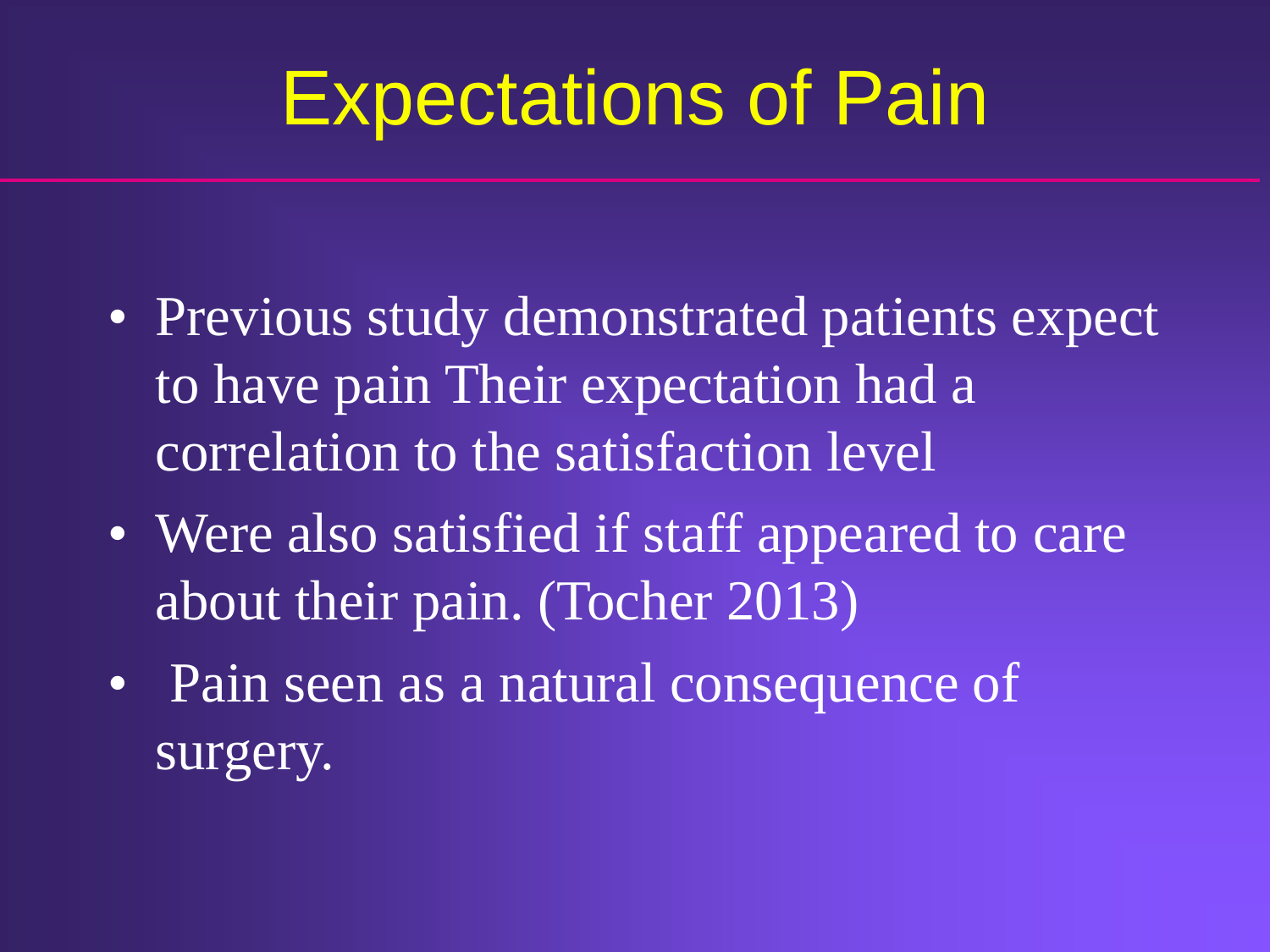# Expectations of Pain

- Previous study demonstrated patients expect to have pain Their expectation had a correlation to the satisfaction level
- Were also satisfied if staff appeared to care about their pain. (Tocher 2013)
- Pain seen as a natural consequence of surgery.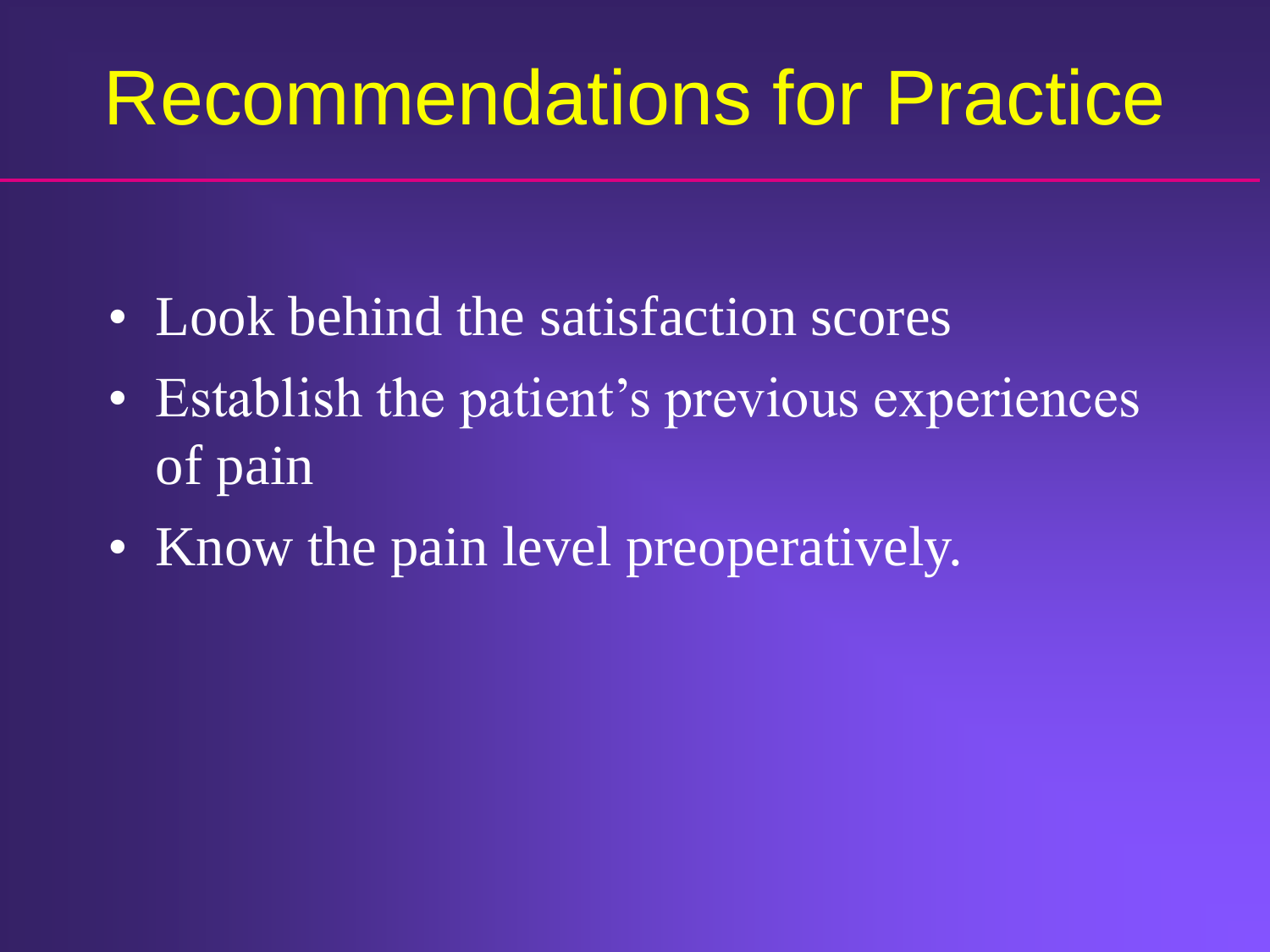# Recommendations for Practice

- Look behind the satisfaction scores
- Establish the patient's previous experiences of pain
- Know the pain level preoperatively.